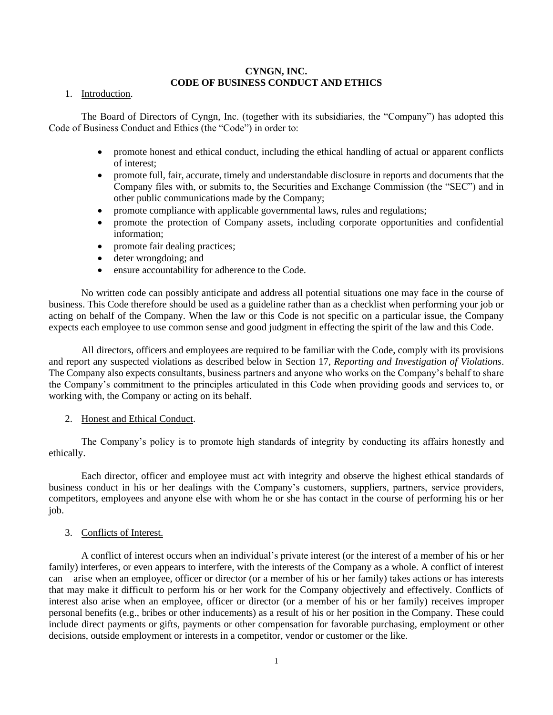# **CYNGN, INC. CODE OF BUSINESS CONDUCT AND ETHICS**

1. Introduction.

The Board of Directors of Cyngn, Inc. (together with its subsidiaries, the "Company") has adopted this Code of Business Conduct and Ethics (the "Code") in order to:

- promote honest and ethical conduct, including the ethical handling of actual or apparent conflicts of interest;
- promote full, fair, accurate, timely and understandable disclosure in reports and documents that the Company files with, or submits to, the Securities and Exchange Commission (the "SEC") and in other public communications made by the Company;
- promote compliance with applicable governmental laws, rules and regulations;
- promote the protection of Company assets, including corporate opportunities and confidential information;
- promote fair dealing practices;
- deter wrongdoing; and
- ensure accountability for adherence to the Code.

No written code can possibly anticipate and address all potential situations one may face in the course of business. This Code therefore should be used as a guideline rather than as a checklist when performing your job or acting on behalf of the Company. When the law or this Code is not specific on a particular issue, the Company expects each employee to use common sense and good judgment in effecting the spirit of the law and this Code.

All directors, officers and employees are required to be familiar with the Code, comply with its provisions and report any suspected violations as described below in Section 17, *Reporting and Investigation of Violations*. The Company also expects consultants, business partners and anyone who works on the Company's behalf to share the Company's commitment to the principles articulated in this Code when providing goods and services to, or working with, the Company or acting on its behalf.

### 2. Honest and Ethical Conduct.

The Company's policy is to promote high standards of integrity by conducting its affairs honestly and ethically.

Each director, officer and employee must act with integrity and observe the highest ethical standards of business conduct in his or her dealings with the Company's customers, suppliers, partners, service providers, competitors, employees and anyone else with whom he or she has contact in the course of performing his or her job.

3. Conflicts of Interest.

A conflict of interest occurs when an individual's private interest (or the interest of a member of his or her family) interferes, or even appears to interfere, with the interests of the Company as a whole. A conflict of interest can arise when an employee, officer or director (or a member of his or her family) takes actions or has interests that may make it difficult to perform his or her work for the Company objectively and effectively. Conflicts of interest also arise when an employee, officer or director (or a member of his or her family) receives improper personal benefits (e.g., bribes or other inducements) as a result of his or her position in the Company. These could include direct payments or gifts, payments or other compensation for favorable purchasing, employment or other decisions, outside employment or interests in a competitor, vendor or customer or the like.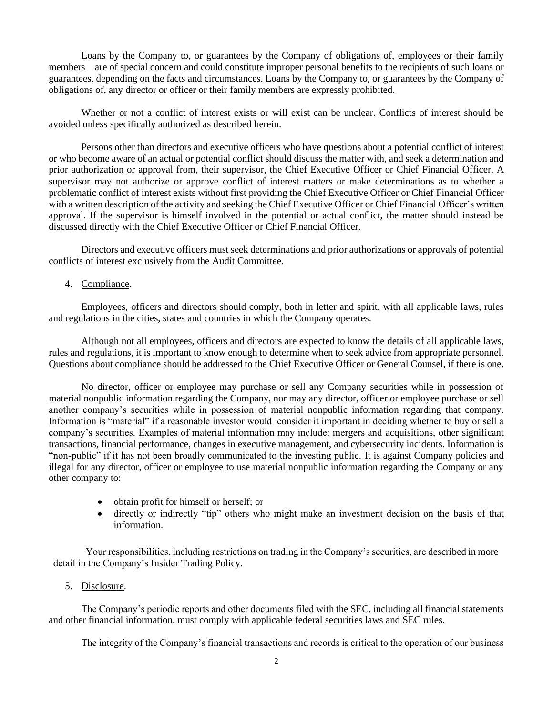Loans by the Company to, or guarantees by the Company of obligations of, employees or their family members are of special concern and could constitute improper personal benefits to the recipients of such loans or guarantees, depending on the facts and circumstances. Loans by the Company to, or guarantees by the Company of obligations of, any director or officer or their family members are expressly prohibited.

Whether or not a conflict of interest exists or will exist can be unclear. Conflicts of interest should be avoided unless specifically authorized as described herein.

Persons other than directors and executive officers who have questions about a potential conflict of interest or who become aware of an actual or potential conflict should discuss the matter with, and seek a determination and prior authorization or approval from, their supervisor, the Chief Executive Officer or Chief Financial Officer. A supervisor may not authorize or approve conflict of interest matters or make determinations as to whether a problematic conflict of interest exists without first providing the Chief Executive Officer or Chief Financial Officer with a written description of the activity and seeking the Chief Executive Officer or Chief Financial Officer's written approval. If the supervisor is himself involved in the potential or actual conflict, the matter should instead be discussed directly with the Chief Executive Officer or Chief Financial Officer.

Directors and executive officers must seek determinations and prior authorizations or approvals of potential conflicts of interest exclusively from the Audit Committee.

#### 4. Compliance.

Employees, officers and directors should comply, both in letter and spirit, with all applicable laws, rules and regulations in the cities, states and countries in which the Company operates.

Although not all employees, officers and directors are expected to know the details of all applicable laws, rules and regulations, it is important to know enough to determine when to seek advice from appropriate personnel. Questions about compliance should be addressed to the Chief Executive Officer or General Counsel, if there is one.

No director, officer or employee may purchase or sell any Company securities while in possession of material nonpublic information regarding the Company, nor may any director, officer or employee purchase or sell another company's securities while in possession of material nonpublic information regarding that company. Information is "material" if a reasonable investor would consider it important in deciding whether to buy or sell a company's securities. Examples of material information may include: mergers and acquisitions, other significant transactions, financial performance, changes in executive management, and cybersecurity incidents. Information is "non-public" if it has not been broadly communicated to the investing public. It is against Company policies and illegal for any director, officer or employee to use material nonpublic information regarding the Company or any other company to:

- obtain profit for himself or herself; or
- directly or indirectly "tip" others who might make an investment decision on the basis of that information.

Your responsibilities, including restrictions on trading in the Company's securities, are described in more detail in the Company's Insider Trading Policy.

## 5. Disclosure.

The Company's periodic reports and other documents filed with the SEC, including all financial statements and other financial information, must comply with applicable federal securities laws and SEC rules.

The integrity of the Company's financial transactions and records is critical to the operation of our business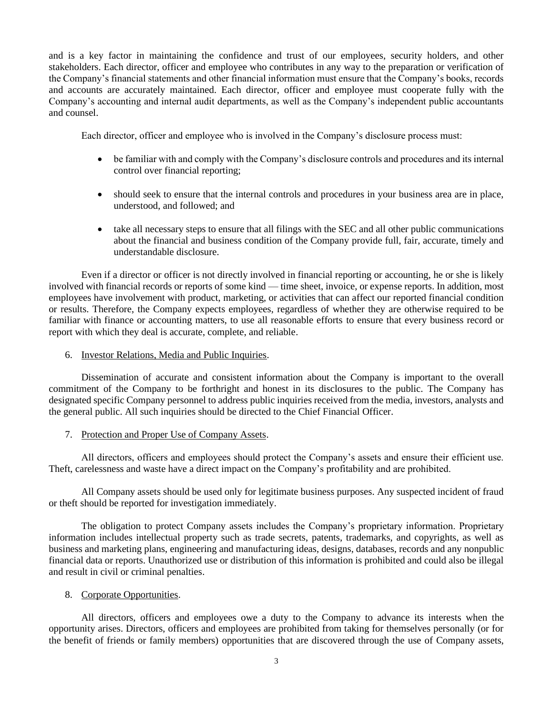and is a key factor in maintaining the confidence and trust of our employees, security holders, and other stakeholders. Each director, officer and employee who contributes in any way to the preparation or verification of the Company's financial statements and other financial information must ensure that the Company's books, records and accounts are accurately maintained. Each director, officer and employee must cooperate fully with the Company's accounting and internal audit departments, as well as the Company's independent public accountants and counsel.

Each director, officer and employee who is involved in the Company's disclosure process must:

- be familiar with and comply with the Company's disclosure controls and procedures and its internal control over financial reporting;
- should seek to ensure that the internal controls and procedures in your business area are in place, understood, and followed; and
- take all necessary steps to ensure that all filings with the SEC and all other public communications about the financial and business condition of the Company provide full, fair, accurate, timely and understandable disclosure.

Even if a director or officer is not directly involved in financial reporting or accounting, he or she is likely involved with financial records or reports of some kind — time sheet, invoice, or expense reports. In addition, most employees have involvement with product, marketing, or activities that can affect our reported financial condition or results. Therefore, the Company expects employees, regardless of whether they are otherwise required to be familiar with finance or accounting matters, to use all reasonable efforts to ensure that every business record or report with which they deal is accurate, complete, and reliable.

6. Investor Relations, Media and Public Inquiries.

Dissemination of accurate and consistent information about the Company is important to the overall commitment of the Company to be forthright and honest in its disclosures to the public. The Company has designated specific Company personnel to address public inquiries received from the media, investors, analysts and the general public. All such inquiries should be directed to the Chief Financial Officer.

7. Protection and Proper Use of Company Assets.

All directors, officers and employees should protect the Company's assets and ensure their efficient use. Theft, carelessness and waste have a direct impact on the Company's profitability and are prohibited.

All Company assets should be used only for legitimate business purposes. Any suspected incident of fraud or theft should be reported for investigation immediately.

The obligation to protect Company assets includes the Company's proprietary information. Proprietary information includes intellectual property such as trade secrets, patents, trademarks, and copyrights, as well as business and marketing plans, engineering and manufacturing ideas, designs, databases, records and any nonpublic financial data or reports. Unauthorized use or distribution of this information is prohibited and could also be illegal and result in civil or criminal penalties.

# 8. Corporate Opportunities.

All directors, officers and employees owe a duty to the Company to advance its interests when the opportunity arises. Directors, officers and employees are prohibited from taking for themselves personally (or for the benefit of friends or family members) opportunities that are discovered through the use of Company assets,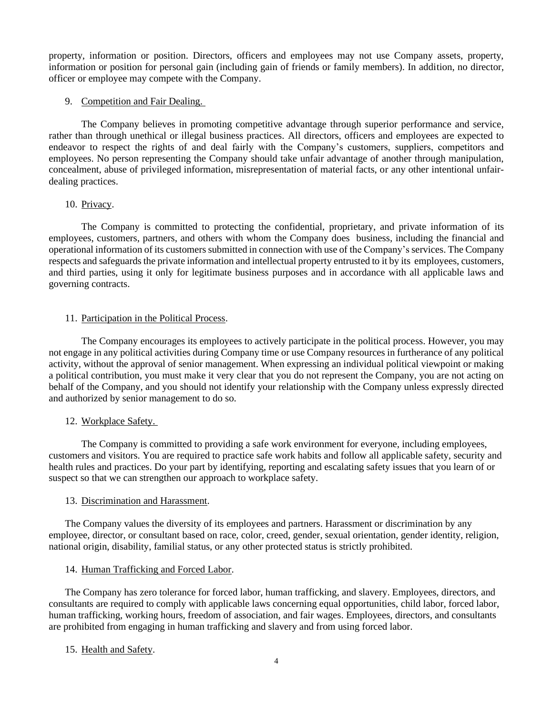property, information or position. Directors, officers and employees may not use Company assets, property, information or position for personal gain (including gain of friends or family members). In addition, no director, officer or employee may compete with the Company.

## 9. Competition and Fair Dealing.

The Company believes in promoting competitive advantage through superior performance and service, rather than through unethical or illegal business practices. All directors, officers and employees are expected to endeavor to respect the rights of and deal fairly with the Company's customers, suppliers, competitors and employees. No person representing the Company should take unfair advantage of another through manipulation, concealment, abuse of privileged information, misrepresentation of material facts, or any other intentional unfairdealing practices.

## 10. Privacy.

The Company is committed to protecting the confidential, proprietary, and private information of its employees, customers, partners, and others with whom the Company does business, including the financial and operational information of its customers submitted in connection with use of the Company'sservices. The Company respects and safeguards the private information and intellectual property entrusted to it by its employees, customers, and third parties, using it only for legitimate business purposes and in accordance with all applicable laws and governing contracts.

## 11. Participation in the Political Process.

The Company encourages its employees to actively participate in the political process. However, you may not engage in any political activities during Company time or use Company resources in furtherance of any political activity, without the approval of senior management. When expressing an individual political viewpoint or making a political contribution, you must make it very clear that you do not represent the Company, you are not acting on behalf of the Company, and you should not identify your relationship with the Company unless expressly directed and authorized by senior management to do so.

# 12. Workplace Safety.

The Company is committed to providing a safe work environment for everyone, including employees, customers and visitors. You are required to practice safe work habits and follow all applicable safety, security and health rules and practices. Do your part by identifying, reporting and escalating safety issues that you learn of or suspect so that we can strengthen our approach to workplace safety.

### 13. Discrimination and Harassment.

The Company values the diversity of its employees and partners. Harassment or discrimination by any employee, director, or consultant based on race, color, creed, gender, sexual orientation, gender identity, religion, national origin, disability, familial status, or any other protected status is strictly prohibited.

### 14. Human Trafficking and Forced Labor.

The Company has zero tolerance for forced labor, human trafficking, and slavery. Employees, directors, and consultants are required to comply with applicable laws concerning equal opportunities, child labor, forced labor, human trafficking, working hours, freedom of association, and fair wages. Employees, directors, and consultants are prohibited from engaging in human trafficking and slavery and from using forced labor.

# 15. Health and Safety.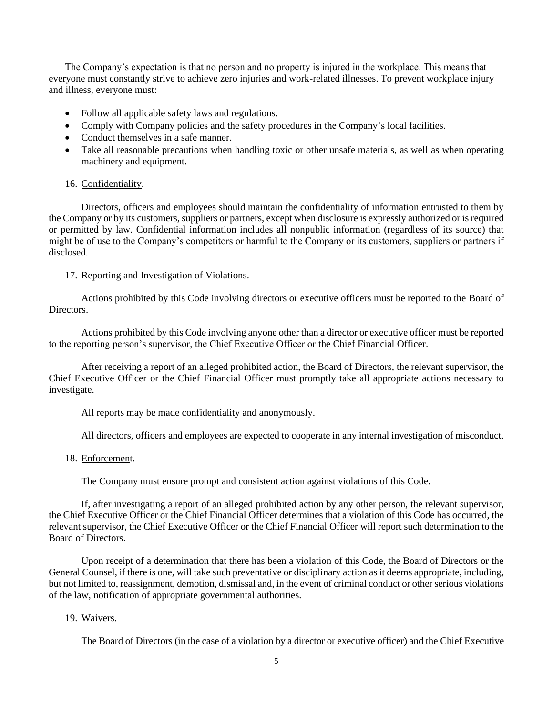The Company's expectation is that no person and no property is injured in the workplace. This means that everyone must constantly strive to achieve zero injuries and work-related illnesses. To prevent workplace injury and illness, everyone must:

- Follow all applicable safety laws and regulations.
- Comply with Company policies and the safety procedures in the Company's local facilities.
- Conduct themselves in a safe manner.
- Take all reasonable precautions when handling toxic or other unsafe materials, as well as when operating machinery and equipment.

### 16. Confidentiality.

Directors, officers and employees should maintain the confidentiality of information entrusted to them by the Company or by its customers, suppliers or partners, except when disclosure is expressly authorized or is required or permitted by law. Confidential information includes all nonpublic information (regardless of its source) that might be of use to the Company's competitors or harmful to the Company or its customers, suppliers or partners if disclosed.

## 17. Reporting and Investigation of Violations.

Actions prohibited by this Code involving directors or executive officers must be reported to the Board of Directors.

Actions prohibited by this Code involving anyone other than a director or executive officer must be reported to the reporting person's supervisor, the Chief Executive Officer or the Chief Financial Officer.

After receiving a report of an alleged prohibited action, the Board of Directors, the relevant supervisor, the Chief Executive Officer or the Chief Financial Officer must promptly take all appropriate actions necessary to investigate.

All reports may be made confidentiality and anonymously.

All directors, officers and employees are expected to cooperate in any internal investigation of misconduct.

### 18. Enforcement.

The Company must ensure prompt and consistent action against violations of this Code.

If, after investigating a report of an alleged prohibited action by any other person, the relevant supervisor, the Chief Executive Officer or the Chief Financial Officer determines that a violation of this Code has occurred, the relevant supervisor, the Chief Executive Officer or the Chief Financial Officer will report such determination to the Board of Directors.

Upon receipt of a determination that there has been a violation of this Code, the Board of Directors or the General Counsel, if there is one, will take such preventative or disciplinary action as it deems appropriate, including, but not limited to, reassignment, demotion, dismissal and, in the event of criminal conduct or other serious violations of the law, notification of appropriate governmental authorities.

### 19. Waivers.

The Board of Directors (in the case of a violation by a director or executive officer) and the Chief Executive